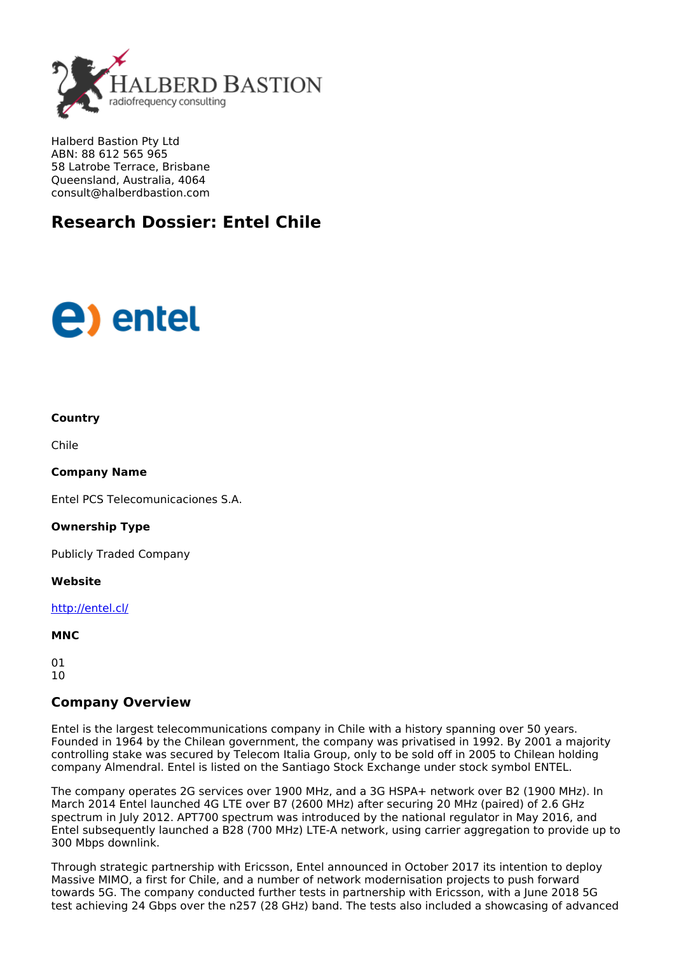

Halberd Bastion Pty Ltd ABN: 88 612 565 965 58 Latrobe Terrace, Brisbane Queensland, Australia, 4064 consult@halberdbastion.com

## **Research Dossier: Entel Chile**

# **(e)** entel

#### **Country**

Chile

#### **Company Name**

Entel PCS Telecomunicaciones S.A.

#### **Ownership Type**

Publicly Traded Company

**Website**

<http://entel.cl/>

#### **MNC**

01  $1<sub>0</sub>$ 

### **Company Overview**

Entel is the largest telecommunications company in Chile with a history spanning over 50 years. Founded in 1964 by the Chilean government, the company was privatised in 1992. By 2001 a majority controlling stake was secured by Telecom Italia Group, only to be sold off in 2005 to Chilean holding company Almendral. Entel is listed on the Santiago Stock Exchange under stock symbol ENTEL.

The company operates 2G services over 1900 MHz, and a 3G HSPA+ network over B2 (1900 MHz). In March 2014 Entel launched 4G LTE over B7 (2600 MHz) after securing 20 MHz (paired) of 2.6 GHz spectrum in July 2012. APT700 spectrum was introduced by the national regulator in May 2016, and Entel subsequently launched a B28 (700 MHz) LTE-A network, using carrier aggregation to provide up to 300 Mbps downlink.

Through strategic partnership with Ericsson, Entel announced in October 2017 its intention to deploy Massive MIMO, a first for Chile, and a number of network modernisation projects to push forward towards 5G. The company conducted further tests in partnership with Ericsson, with a June 2018 5G test achieving 24 Gbps over the n257 (28 GHz) band. The tests also included a showcasing of advanced